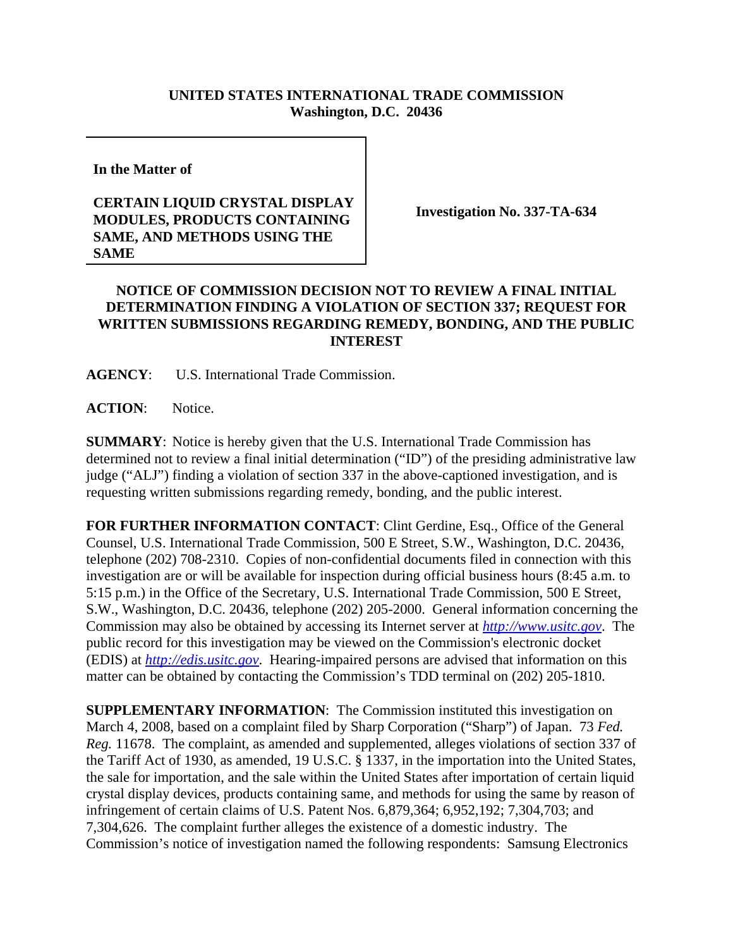## **UNITED STATES INTERNATIONAL TRADE COMMISSION Washington, D.C. 20436**

**In the Matter of** 

## **CERTAIN LIQUID CRYSTAL DISPLAY MODULES, PRODUCTS CONTAINING SAME, AND METHODS USING THE SAME**

**Investigation No. 337-TA-634**

## **NOTICE OF COMMISSION DECISION NOT TO REVIEW A FINAL INITIAL DETERMINATION FINDING A VIOLATION OF SECTION 337; REQUEST FOR WRITTEN SUBMISSIONS REGARDING REMEDY, BONDING, AND THE PUBLIC INTEREST**

**AGENCY**: U.S. International Trade Commission.

**ACTION**: Notice.

**SUMMARY**: Notice is hereby given that the U.S. International Trade Commission has determined not to review a final initial determination ("ID") of the presiding administrative law judge ("ALJ") finding a violation of section 337 in the above-captioned investigation, and is requesting written submissions regarding remedy, bonding, and the public interest.

**FOR FURTHER INFORMATION CONTACT**: Clint Gerdine, Esq., Office of the General Counsel, U.S. International Trade Commission, 500 E Street, S.W., Washington, D.C. 20436, telephone (202) 708-2310. Copies of non-confidential documents filed in connection with this investigation are or will be available for inspection during official business hours (8:45 a.m. to 5:15 p.m.) in the Office of the Secretary, U.S. International Trade Commission, 500 E Street, S.W., Washington, D.C. 20436, telephone (202) 205-2000. General information concerning the Commission may also be obtained by accessing its Internet server at *http://www.usitc.gov*. The public record for this investigation may be viewed on the Commission's electronic docket (EDIS) at *http://edis.usitc.gov*. Hearing-impaired persons are advised that information on this matter can be obtained by contacting the Commission's TDD terminal on (202) 205-1810.

**SUPPLEMENTARY INFORMATION:** The Commission instituted this investigation on March 4, 2008, based on a complaint filed by Sharp Corporation ("Sharp") of Japan. 73 *Fed. Reg.* 11678. The complaint, as amended and supplemented, alleges violations of section 337 of the Tariff Act of 1930, as amended, 19 U.S.C. § 1337, in the importation into the United States, the sale for importation, and the sale within the United States after importation of certain liquid crystal display devices, products containing same, and methods for using the same by reason of infringement of certain claims of U.S. Patent Nos. 6,879,364; 6,952,192; 7,304,703; and 7,304,626. The complaint further alleges the existence of a domestic industry. The Commission's notice of investigation named the following respondents: Samsung Electronics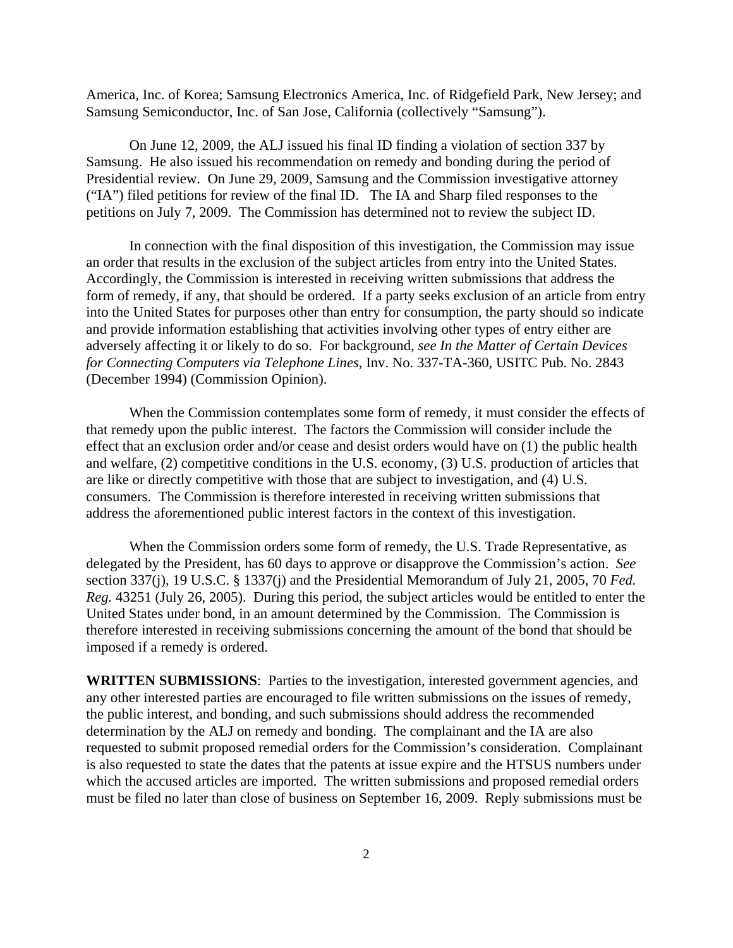America, Inc. of Korea; Samsung Electronics America, Inc. of Ridgefield Park, New Jersey; and Samsung Semiconductor, Inc. of San Jose, California (collectively "Samsung").

On June 12, 2009, the ALJ issued his final ID finding a violation of section 337 by Samsung. He also issued his recommendation on remedy and bonding during the period of Presidential review. On June 29, 2009, Samsung and the Commission investigative attorney ("IA") filed petitions for review of the final ID. The IA and Sharp filed responses to the petitions on July 7, 2009. The Commission has determined not to review the subject ID.

In connection with the final disposition of this investigation, the Commission may issue an order that results in the exclusion of the subject articles from entry into the United States. Accordingly, the Commission is interested in receiving written submissions that address the form of remedy, if any, that should be ordered. If a party seeks exclusion of an article from entry into the United States for purposes other than entry for consumption, the party should so indicate and provide information establishing that activities involving other types of entry either are adversely affecting it or likely to do so. For background, *see In the Matter of Certain Devices for Connecting Computers via Telephone Lines*, Inv. No. 337-TA-360, USITC Pub. No. 2843 (December 1994) (Commission Opinion).

When the Commission contemplates some form of remedy, it must consider the effects of that remedy upon the public interest. The factors the Commission will consider include the effect that an exclusion order and/or cease and desist orders would have on (1) the public health and welfare, (2) competitive conditions in the U.S. economy, (3) U.S. production of articles that are like or directly competitive with those that are subject to investigation, and (4) U.S. consumers. The Commission is therefore interested in receiving written submissions that address the aforementioned public interest factors in the context of this investigation.

When the Commission orders some form of remedy, the U.S. Trade Representative, as delegated by the President, has 60 days to approve or disapprove the Commission's action. *See* section 337(j), 19 U.S.C. § 1337(j) and the Presidential Memorandum of July 21, 2005, 70 *Fed. Reg.* 43251 (July 26, 2005). During this period, the subject articles would be entitled to enter the United States under bond, in an amount determined by the Commission. The Commission is therefore interested in receiving submissions concerning the amount of the bond that should be imposed if a remedy is ordered.

**WRITTEN SUBMISSIONS**: Parties to the investigation, interested government agencies, and any other interested parties are encouraged to file written submissions on the issues of remedy, the public interest, and bonding, and such submissions should address the recommended determination by the ALJ on remedy and bonding. The complainant and the IA are also requested to submit proposed remedial orders for the Commission's consideration. Complainant is also requested to state the dates that the patents at issue expire and the HTSUS numbers under which the accused articles are imported. The written submissions and proposed remedial orders must be filed no later than close of business on September 16, 2009. Reply submissions must be